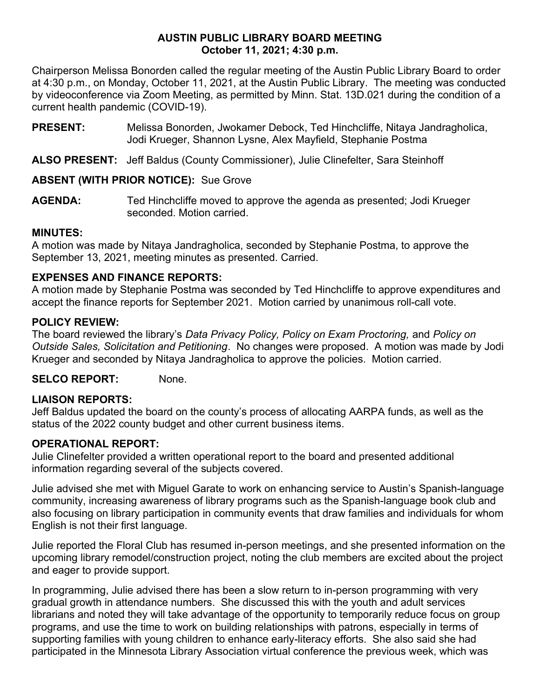## **AUSTIN PUBLIC LIBRARY BOARD MEETING October 11, 2021; 4:30 p.m.**

Chairperson Melissa Bonorden called the regular meeting of the Austin Public Library Board to order at 4:30 p.m., on Monday, October 11, 2021, at the Austin Public Library. The meeting was conducted by videoconference via Zoom Meeting, as permitted by Minn. Stat. 13D.021 during the condition of a current health pandemic (COVID-19).

**PRESENT:** Melissa Bonorden, Jwokamer Debock, Ted Hinchcliffe, Nitaya Jandragholica, Jodi Krueger, Shannon Lysne, Alex Mayfield, Stephanie Postma

**ALSO PRESENT:** Jeff Baldus (County Commissioner), Julie Clinefelter, Sara Steinhoff

### **ABSENT (WITH PRIOR NOTICE):** Sue Grove

**AGENDA:** Ted Hinchcliffe moved to approve the agenda as presented; Jodi Krueger seconded. Motion carried.

### **MINUTES:**

A motion was made by Nitaya Jandragholica, seconded by Stephanie Postma, to approve the September 13, 2021, meeting minutes as presented. Carried.

### **EXPENSES AND FINANCE REPORTS:**

A motion made by Stephanie Postma was seconded by Ted Hinchcliffe to approve expenditures and accept the finance reports for September 2021. Motion carried by unanimous roll-call vote.

### **POLICY REVIEW:**

The board reviewed the library's *Data Privacy Policy, Policy on Exam Proctoring,* and *Policy on Outside Sales, Solicitation and Petitioning*. No changes were proposed. A motion was made by Jodi Krueger and seconded by Nitaya Jandragholica to approve the policies. Motion carried.

SELCO REPORT: None.

# **LIAISON REPORTS:**

Jeff Baldus updated the board on the county's process of allocating AARPA funds, as well as the status of the 2022 county budget and other current business items.

#### **OPERATIONAL REPORT:**

Julie Clinefelter provided a written operational report to the board and presented additional information regarding several of the subjects covered.

Julie advised she met with Miguel Garate to work on enhancing service to Austin's Spanish-language community, increasing awareness of library programs such as the Spanish-language book club and also focusing on library participation in community events that draw families and individuals for whom English is not their first language.

Julie reported the Floral Club has resumed in-person meetings, and she presented information on the upcoming library remodel/construction project, noting the club members are excited about the project and eager to provide support.

In programming, Julie advised there has been a slow return to in-person programming with very gradual growth in attendance numbers. She discussed this with the youth and adult services librarians and noted they will take advantage of the opportunity to temporarily reduce focus on group programs, and use the time to work on building relationships with patrons, especially in terms of supporting families with young children to enhance early-literacy efforts. She also said she had participated in the Minnesota Library Association virtual conference the previous week, which was